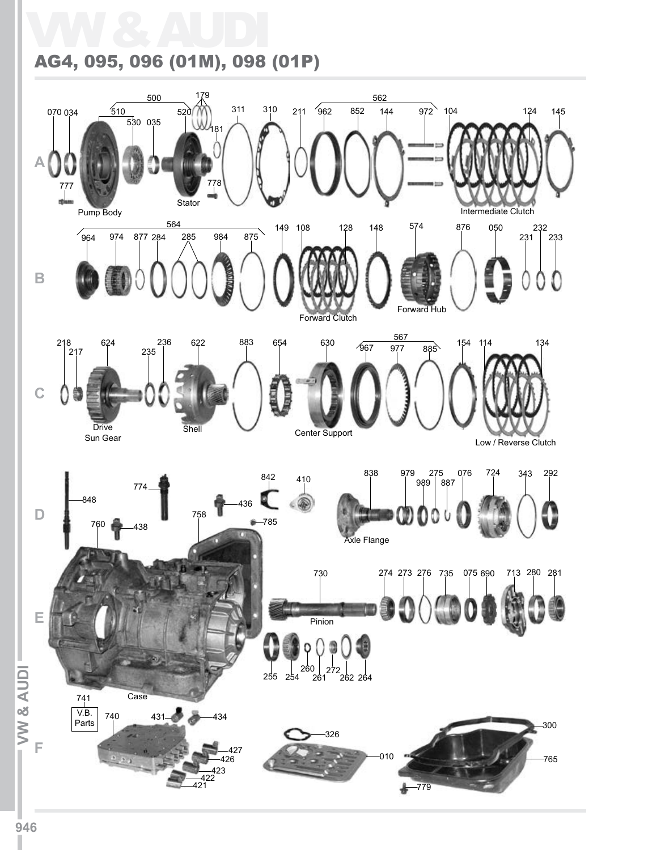## VW & AUDI AG4, 095, 096 (01M), 098 (01P)